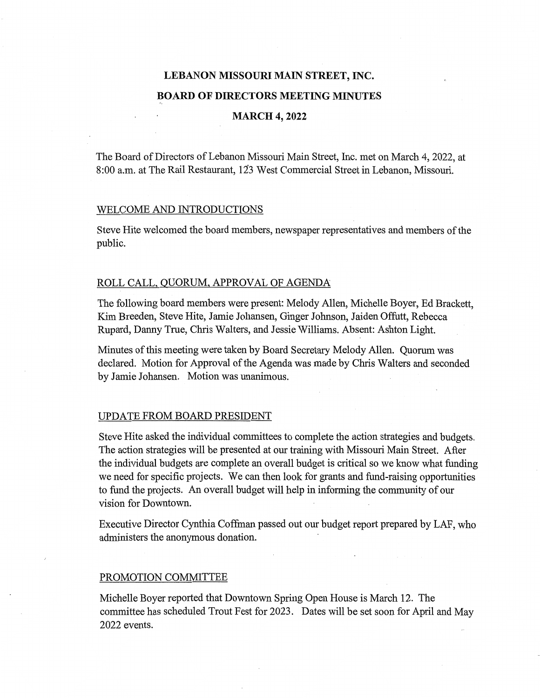# **LEBANON MISSOURI MAIN STREET, INC. BOARD OF DIRECTORS MEETING MINUTES**

# **MARCH 4, 2022**

The Board of Directors of Lebanon Missouri Main Street, Inc. met on March 4, 2022, at 8:00 a.m. at The Rail Restaurant, 123 West Commercial Street in Lebanon, Missouri.

# WELCOME AND INTRODUCTIONS

Steve Hite welcomed the board members, newspaper representatives and members of the public.

# ROLL CALL, QUORUM, APPROVAL OF AGENDA

The following board members were present: Melody Allen, Michelle Boyer, Ed Brackett, Kim Breeden, Steve Hite, Jamie Johansen, Ginger Johnson, Jaiden Offutt, Rebecca Rupard, Danny True, Chris Walters, and Jessie Williams. Absent: Ashton Light.

Minutes of this meeting were taken by Board Secretary Melody Allen. Quorum was declared. Motion for Approval of the Agenda was made by Chris Walters and seconded by Jamie Johansen. Motion was unanimous.

#### UPDATE FROM BOARD PRESIDENT

Steve Hite asked the individual committees to complete the action strategies and budgets. The action strategies will be presented at our training with Missouri Main Street. After the individual budgets are complete an overall budget is critical so we know what funding we need for specific projects. We can then look for grants and fund-raising opportunities to fund the projects. An overall budget will help in informing the community of our vision for Downtown.

Executive Director Cynthia Coffman passed out our budget report prepared by LAF, who administers the anonymous donation.

### PROMOTION COMMITTEE

Michelle Boyer reported that Downtown Spring Open House is March 12. The committee has scheduled Trout Fest for 2023. Dates will be set soon for April and May 2022 events.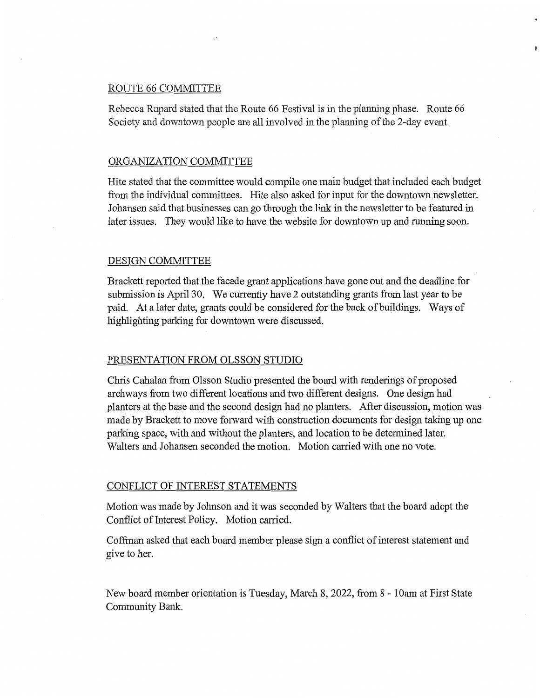# ROUTE 66 COMMITTEE

Rebecca Rupard stated that the Route 66 Festival is in the planning phase. Route 66 Society and downtown people are all involved in the planning of the 2-day event.

#### ORGANIZATION COMMITTEE

Hite stated that the committee would compile one main budget that included each budget from the individual committees. Hite also asked for input for the downtown newsletter. Johansen said that businesses can go through the link in the newsletter to be featured in later issues. They would like to have the website for downtown up and running soon.

#### DESIGN COMMITTEE

Brackett reported that the facade grant applications have gone out and the deadline for submission is April 30. We currently have 2 outstanding grants from last year to be paid. At a later date, grants could be considered for the back of buildings. Ways of highlighting parking for downtown were discussed.

## PRESENTATION FROM OLSSON STUDIO

Chris Cahalan from Olsson Studio presented the board with renderings of proposed archways from two different locations and two different designs. One design had planters at the base and the second design had no planters. After discussion, motion was made by Brackett to move forward with construction documents for design taking up one parking space, with and without the planters, and location to be determined later. Walters and Johansen seconded the motion. Motion carried with one no vote.

#### CONFLICT OF INTEREST STATEMENTS

Motion was made by Johnson and it was seconded by Walters that the board adopt the Conflict of Interest Policy. Motion carried.

Coffman asked that each board member please sign a conflict of interest statement and give to her.

New board member orientation is Tuesday, March 8, 2022, from 8 - 10am at First State Community Bank.